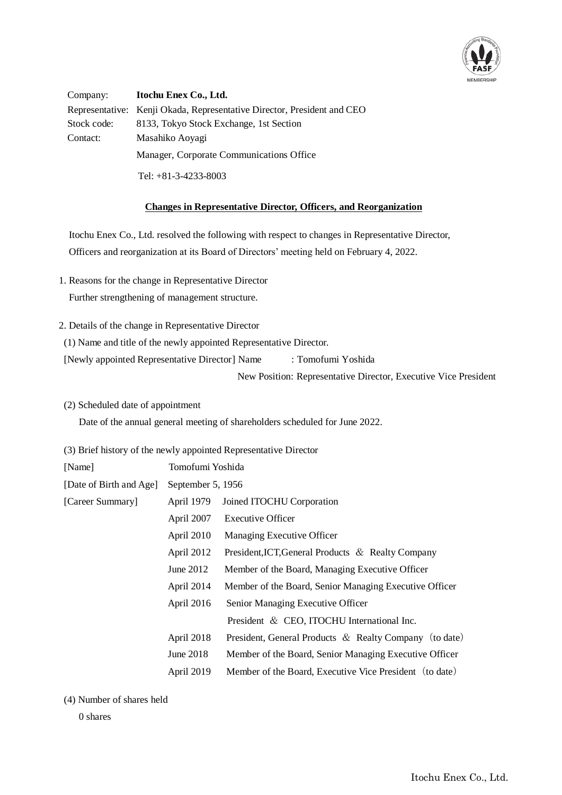

Company: **Itochu Enex Co., Ltd.** Representative: Kenji Okada, Representative Director, President and CEO Stock code: 8133, Tokyo Stock Exchange, 1st Section Contact: Masahiko Aoyagi Manager, Corporate Communications Office Tel: +81-3-4233-8003

## **Changes in Representative Director, Officers, and Reorganization**

Itochu Enex Co., Ltd. resolved the following with respect to changes in Representative Director, Officers and reorganization at its Board of Directors' meeting held on February 4, 2022.

- 1. Reasons for the change in Representative Director Further strengthening of management structure.
- 2. Details of the change in Representative Director
- (1) Name and title of the newly appointed Representative Director.

[Newly appointed Representative Director] Name : Tomofumi Yoshida

New Position: Representative Director, Executive Vice President

(2) Scheduled date of appointment

Date of the annual general meeting of shareholders scheduled for June 2022.

(3) Brief history of the newly appointed Representative Director

| [Name]                  | Tomofumi Yoshida                        |                                                           |
|-------------------------|-----------------------------------------|-----------------------------------------------------------|
| [Date of Birth and Age] | September 5, 1956                       |                                                           |
| [Career Summary]        | April 1979<br>Joined ITOCHU Corporation |                                                           |
|                         | April 2007                              | <b>Executive Officer</b>                                  |
|                         | April 2010                              | Managing Executive Officer                                |
|                         | April 2012                              | President, ICT, General Products & Realty Company         |
|                         | June 2012                               | Member of the Board, Managing Executive Officer           |
|                         | April 2014                              | Member of the Board, Senior Managing Executive Officer    |
|                         | April 2016                              | Senior Managing Executive Officer                         |
|                         |                                         | President & CEO, ITOCHU International Inc.                |
|                         | April 2018                              | President, General Products $\&$ Realty Company (to date) |
|                         | June 2018                               | Member of the Board, Senior Managing Executive Officer    |
|                         | April 2019                              | Member of the Board, Executive Vice President (to date)   |

(4) Number of shares held

0 shares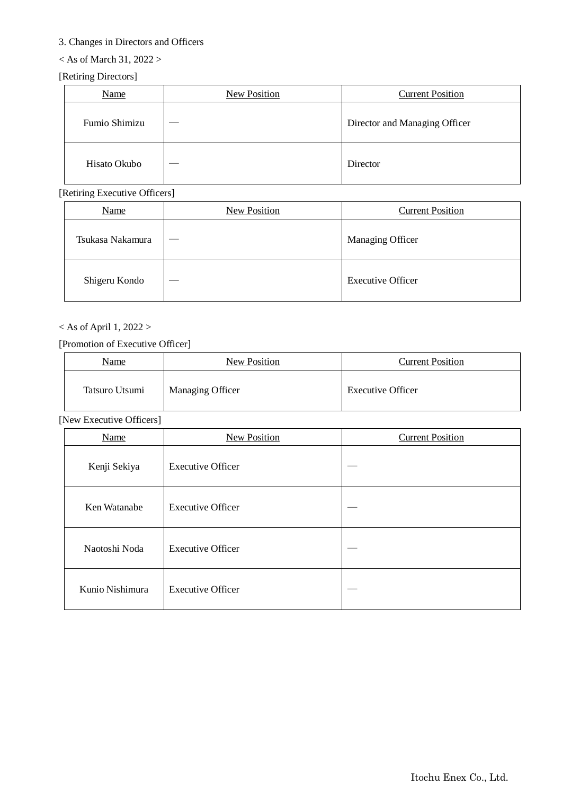# 3. Changes in Directors and Officers

# $<$  As of March 31, 2022 >

# [Retiring Directors]

| Name          | New Position | <b>Current Position</b>       |
|---------------|--------------|-------------------------------|
| Fumio Shimizu |              | Director and Managing Officer |
| Hisato Okubo  |              | Director                      |

[Retiring Executive Officers]

| Name             | New Position | <b>Current Position</b>  |
|------------------|--------------|--------------------------|
| Tsukasa Nakamura |              | <b>Managing Officer</b>  |
| Shigeru Kondo    |              | <b>Executive Officer</b> |

# $<$  As of April 1, 2022  $>$

## [Promotion of Executive Officer]

| Name           | New Position     | <b>Current Position</b>  |
|----------------|------------------|--------------------------|
| Tatsuro Utsumi | Managing Officer | <b>Executive Officer</b> |

[New Executive Officers]

| Name            | <b>New Position</b>      | <b>Current Position</b> |
|-----------------|--------------------------|-------------------------|
| Kenji Sekiya    | <b>Executive Officer</b> |                         |
| Ken Watanabe    | <b>Executive Officer</b> |                         |
| Naotoshi Noda   | <b>Executive Officer</b> |                         |
| Kunio Nishimura | <b>Executive Officer</b> |                         |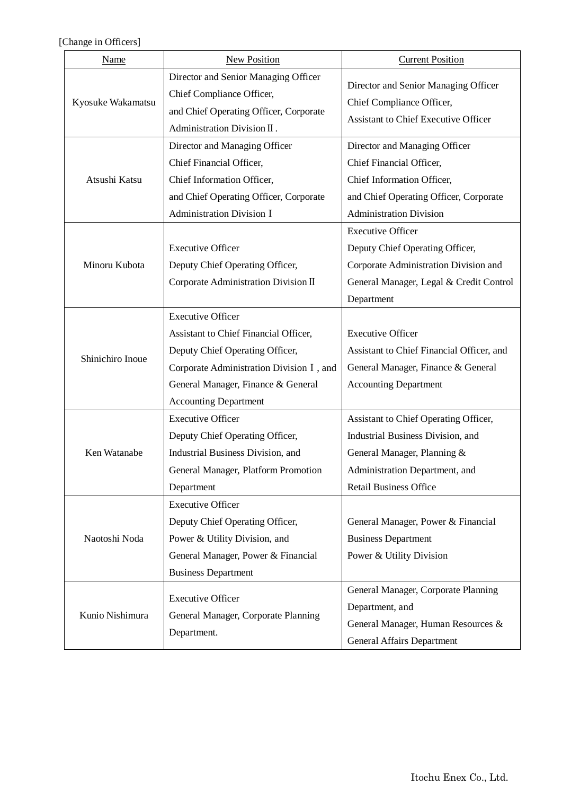[Change in Officers]

| Name                                                                                                                 | New Position                                                                                                                                                                                                           | <b>Current Position</b>                                                                                                                                                      |
|----------------------------------------------------------------------------------------------------------------------|------------------------------------------------------------------------------------------------------------------------------------------------------------------------------------------------------------------------|------------------------------------------------------------------------------------------------------------------------------------------------------------------------------|
| Kyosuke Wakamatsu                                                                                                    | Director and Senior Managing Officer<br>Chief Compliance Officer,<br>and Chief Operating Officer, Corporate<br>Administration Division II.                                                                             | Director and Senior Managing Officer<br>Chief Compliance Officer,<br><b>Assistant to Chief Executive Officer</b>                                                             |
| Atsushi Katsu                                                                                                        | Director and Managing Officer<br>Chief Financial Officer,<br>Chief Information Officer,<br>and Chief Operating Officer, Corporate<br><b>Administration Division I</b>                                                  | Director and Managing Officer<br>Chief Financial Officer,<br>Chief Information Officer,<br>and Chief Operating Officer, Corporate<br><b>Administration Division</b>          |
| <b>Executive Officer</b><br>Minoru Kubota<br>Deputy Chief Operating Officer,<br>Corporate Administration Division II |                                                                                                                                                                                                                        | <b>Executive Officer</b><br>Deputy Chief Operating Officer,<br>Corporate Administration Division and<br>General Manager, Legal & Credit Control<br>Department                |
| Shinichiro Inoue                                                                                                     | <b>Executive Officer</b><br>Assistant to Chief Financial Officer,<br>Deputy Chief Operating Officer,<br>Corporate Administration Division I, and<br>General Manager, Finance & General<br><b>Accounting Department</b> | <b>Executive Officer</b><br>Assistant to Chief Financial Officer, and<br>General Manager, Finance & General<br><b>Accounting Department</b>                                  |
| Ken Watanabe                                                                                                         | <b>Executive Officer</b><br>Deputy Chief Operating Officer,<br>Industrial Business Division, and<br>General Manager, Platform Promotion<br>Department                                                                  | Assistant to Chief Operating Officer,<br>Industrial Business Division, and<br>General Manager, Planning &<br>Administration Department, and<br><b>Retail Business Office</b> |
| Naotoshi Noda                                                                                                        | <b>Executive Officer</b><br>Deputy Chief Operating Officer,<br>Power & Utility Division, and<br>General Manager, Power & Financial<br><b>Business Department</b>                                                       | General Manager, Power & Financial<br><b>Business Department</b><br>Power & Utility Division                                                                                 |
| Kunio Nishimura                                                                                                      | <b>Executive Officer</b><br>General Manager, Corporate Planning<br>Department.                                                                                                                                         | General Manager, Corporate Planning<br>Department, and<br>General Manager, Human Resources &<br><b>General Affairs Department</b>                                            |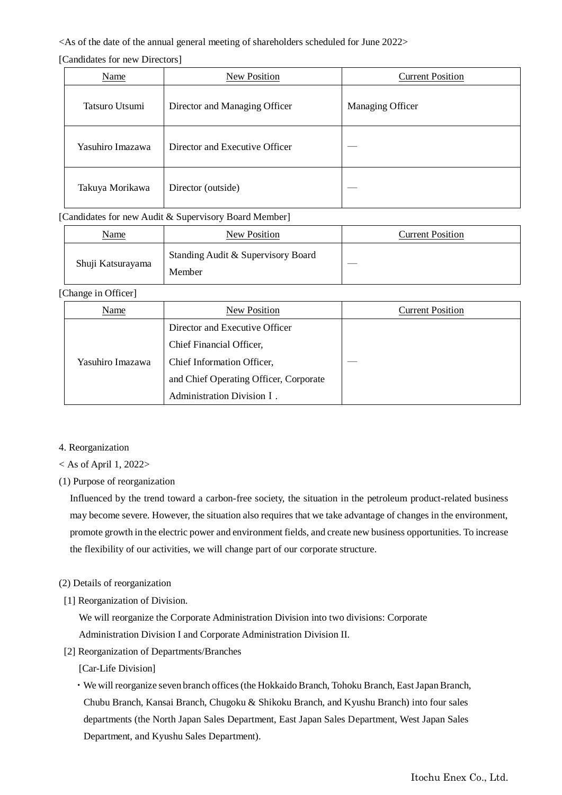#### <As of the date of the annual general meeting of shareholders scheduled for June 2022>

[Candidates for new Directors]

| Name             | <b>New Position</b>            | <b>Current Position</b> |
|------------------|--------------------------------|-------------------------|
| Tatsuro Utsumi   | Director and Managing Officer  | Managing Officer        |
| Yasuhiro Imazawa | Director and Executive Officer |                         |
| Takuya Morikawa  | Director (outside)             |                         |

## [Candidates for new Audit & Supervisory Board Member]

| <u>Name</u>       | New Position                       | <b>Current Position</b> |
|-------------------|------------------------------------|-------------------------|
| Shuji Katsurayama | Standing Audit & Supervisory Board |                         |
|                   | Member                             |                         |

#### [Change in Officer]

| Name             | <b>New Position</b>                    | <b>Current Position</b> |
|------------------|----------------------------------------|-------------------------|
|                  | Director and Executive Officer         |                         |
| Yasuhiro Imazawa | Chief Financial Officer,               |                         |
|                  | Chief Information Officer,             |                         |
|                  | and Chief Operating Officer, Corporate |                         |
|                  | Administration Division I.             |                         |

4. Reorganization

 $<$  As of April 1, 2022>

(1) Purpose of reorganization

Influenced by the trend toward a carbon-free society, the situation in the petroleum product-related business may become severe. However, the situation also requires that we take advantage of changes in the environment, promote growth in the electric power and environment fields, and create new business opportunities. To increase the flexibility of our activities, we will change part of our corporate structure.

- (2) Details of reorganization
- [1] Reorganization of Division.

We will reorganize the Corporate Administration Division into two divisions: Corporate Administration Division I and Corporate Administration Division II.

[2] Reorganization of Departments/Branches

[Car-Life Division]

・We will reorganize seven branch offices (the Hokkaido Branch, Tohoku Branch, East Japan Branch, Chubu Branch, Kansai Branch, Chugoku & Shikoku Branch, and Kyushu Branch) into four sales departments (the North Japan Sales Department, East Japan Sales Department, West Japan Sales Department, and Kyushu Sales Department).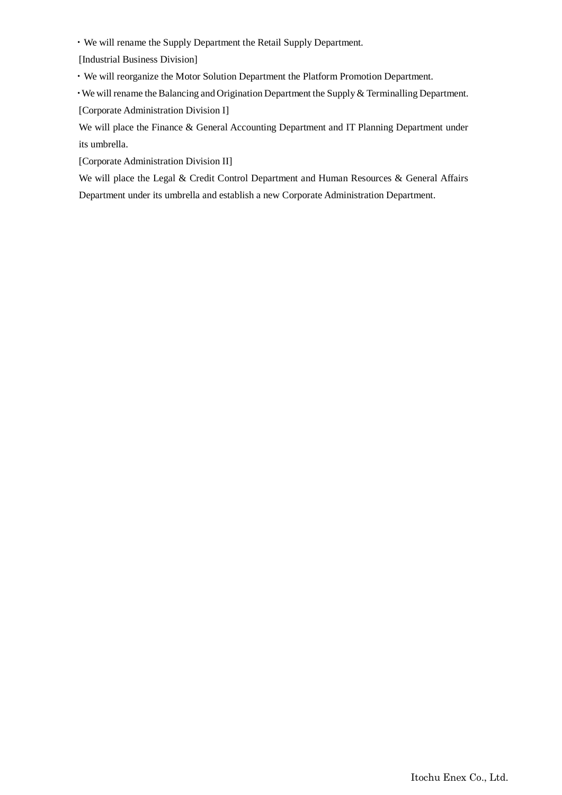・We will rename the Supply Department the Retail Supply Department.

[Industrial Business Division]

・We will reorganize the Motor Solution Department the Platform Promotion Department.

・We will rename the Balancing and Origination Department the Supply & Terminalling Department. [Corporate Administration Division I]

We will place the Finance & General Accounting Department and IT Planning Department under its umbrella.

[Corporate Administration Division II]

 We will place the Legal & Credit Control Department and Human Resources & General Affairs Department under its umbrella and establish a new Corporate Administration Department.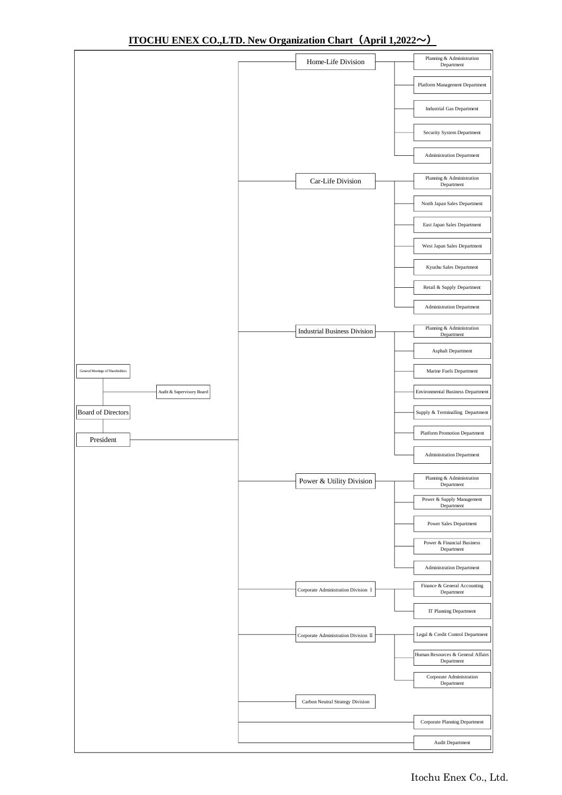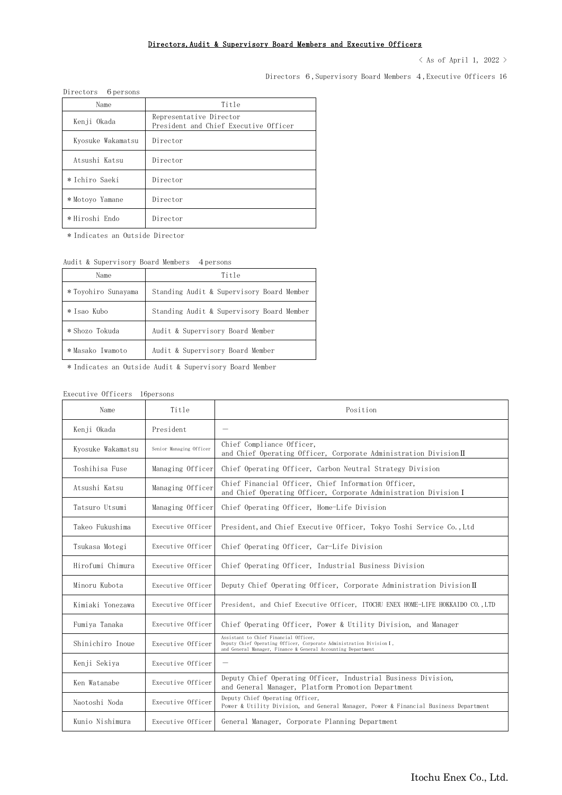#### Directors,Audit & Supervisory Board Members and Executive Officers

 $\langle$  As of April 1, 2022  $\rangle$ 

Directors 6,Supervisory Board Members 4,Executive Officers 16

| Directors 6 persons |                                                                  |
|---------------------|------------------------------------------------------------------|
| Name                | Title                                                            |
| Kenji Okada         | Representative Director<br>President and Chief Executive Officer |
| Kyosuke Wakamatsu   | Director                                                         |
| Atsushi Katsu       | Director                                                         |
| * Ichiro Saeki      | Director                                                         |
| * Motoyo Yamane     | Director                                                         |
| *Hiroshi Endo       | Director                                                         |

\* Indicates an Outside Director

#### Audit & Supervisory Board Members 4 persons

| Name                | Title                                     |  |
|---------------------|-------------------------------------------|--|
| * Toyohiro Sunayama | Standing Audit & Supervisory Board Member |  |
| * Isao Kubo         | Standing Audit & Supervisory Board Member |  |
| * Shozo Tokuda      | Audit & Supervisory Board Member          |  |
| * Masako Iwamoto    | Audit & Supervisory Board Member          |  |

\* Indicates an Outside Audit & Supervisory Board Member

#### Executive Officers 16persons

| Name              | Title                   | Position                                                                                                                                                                      |
|-------------------|-------------------------|-------------------------------------------------------------------------------------------------------------------------------------------------------------------------------|
| Kenji Okada       | President               |                                                                                                                                                                               |
| Kyosuke Wakamatsu | Senior Managing Officer | Chief Compliance Officer,<br>and Chief Operating Officer, Corporate Administration Division II                                                                                |
| Toshihisa Fuse    | Managing Officer        | Chief Operating Officer, Carbon Neutral Strategy Division                                                                                                                     |
| Atsushi Katsu     | Managing Officer        | Chief Financial Officer, Chief Information Officer,<br>and Chief Operating Officer, Corporate Administration Division I                                                       |
| Tatsuro Utsumi    | Managing Officer        | Chief Operating Officer, Home-Life Division                                                                                                                                   |
| Takeo Fukushima   | Executive Officer       | President, and Chief Executive Officer, Tokyo Toshi Service Co., Ltd                                                                                                          |
| Tsukasa Motegi    | Executive Officer       | Chief Operating Officer, Car-Life Division                                                                                                                                    |
| Hirofumi Chimura  | Executive Officer       | Chief Operating Officer, Industrial Business Division                                                                                                                         |
| Minoru Kubota     | Executive Officer       | Deputy Chief Operating Officer, Corporate Administration Division $\Pi$                                                                                                       |
| Kimiaki Yonezawa  | Executive Officer       | President, and Chief Executive Officer, ITOCHU ENEX HOME-LIFE HOKKAIDO CO., LTD                                                                                               |
| Fumiya Tanaka     | Executive Officer       | Chief Operating Officer, Power & Utility Division, and Manager                                                                                                                |
| Shinichiro Inoue  | Executive Officer       | Assistant to Chief Financial Officer.<br>Deputy Chief Operating Officer, Corporate Administration Division I,<br>and General Manager, Finance & General Accounting Department |
| Kenji Sekiya      | Executive Officer       | $\overline{\phantom{0}}$                                                                                                                                                      |
| Ken Watanabe      | Executive Officer       | Deputy Chief Operating Officer, Industrial Business Division,<br>and General Manager, Platform Promotion Department                                                           |
| Naotoshi Noda     | Executive Officer       | Deputy Chief Operating Officer,<br>Power & Utility Division, and General Manager, Power & Financial Business Department                                                       |
| Kunio Nishimura   | Executive Officer       | General Manager, Corporate Planning Department                                                                                                                                |